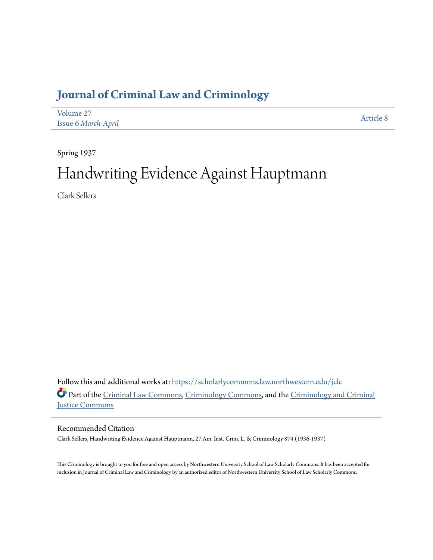## **[Journal of Criminal Law and Criminology](https://scholarlycommons.law.northwestern.edu/jclc?utm_source=scholarlycommons.law.northwestern.edu%2Fjclc%2Fvol27%2Fiss6%2F8&utm_medium=PDF&utm_campaign=PDFCoverPages)**

| Volume 27           | Article 8 |
|---------------------|-----------|
| Issue 6 March-April |           |

Spring 1937

# Handwriting Evidence Against Hauptmann

Clark Sellers

Follow this and additional works at: [https://scholarlycommons.law.northwestern.edu/jclc](https://scholarlycommons.law.northwestern.edu/jclc?utm_source=scholarlycommons.law.northwestern.edu%2Fjclc%2Fvol27%2Fiss6%2F8&utm_medium=PDF&utm_campaign=PDFCoverPages) Part of the [Criminal Law Commons](http://network.bepress.com/hgg/discipline/912?utm_source=scholarlycommons.law.northwestern.edu%2Fjclc%2Fvol27%2Fiss6%2F8&utm_medium=PDF&utm_campaign=PDFCoverPages), [Criminology Commons](http://network.bepress.com/hgg/discipline/417?utm_source=scholarlycommons.law.northwestern.edu%2Fjclc%2Fvol27%2Fiss6%2F8&utm_medium=PDF&utm_campaign=PDFCoverPages), and the [Criminology and Criminal](http://network.bepress.com/hgg/discipline/367?utm_source=scholarlycommons.law.northwestern.edu%2Fjclc%2Fvol27%2Fiss6%2F8&utm_medium=PDF&utm_campaign=PDFCoverPages) [Justice Commons](http://network.bepress.com/hgg/discipline/367?utm_source=scholarlycommons.law.northwestern.edu%2Fjclc%2Fvol27%2Fiss6%2F8&utm_medium=PDF&utm_campaign=PDFCoverPages)

### Recommended Citation

Clark Sellers, Handwriting Evidence Against Hauptmann, 27 Am. Inst. Crim. L. & Criminology 874 (1936-1937)

This Criminology is brought to you for free and open access by Northwestern University School of Law Scholarly Commons. It has been accepted for inclusion in Journal of Criminal Law and Criminology by an authorized editor of Northwestern University School of Law Scholarly Commons.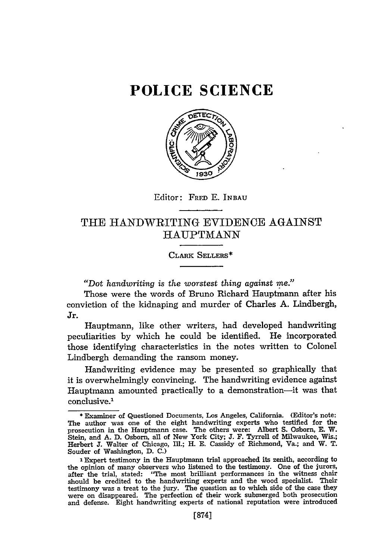## **POLICE SCIENCE**



Editor: FRED E. **INBAU**

### THE HANDWRITING EVIDENCE AGAINST HAUPTMANN

#### CLARK SELLERS\*

*"Dot handwriting is the worstest thing against me."*

Those were the words of Bruno Richard Hauptmann after his conviction of the kidnaping and murder of Charles A. Lindbergh, Jr.

Hauptmann, like other writers, had developed handwriting peculiarities by which he could be identified. He incorporated those identifying characteristics in the notes written to Colonel Lindbergh demanding the ransom money.

Handwriting evidence may be presented so graphically that it is overwhelmingly convincing. The handwriting evidence against Hauptmann amounted practically to a demonstration---it was that conclusive.<sup>1</sup>

<sup>\*</sup> Examiner of Questioned Documents, Los Angeles, California. (Editor's note: The author was one of the eight handwriting experts who testified for the prosecution in the Hauptmann case. The others were: Albert **S.** Osborn, E. W. Stein, and A. D. Osborn, all of New York City; **J.** F. Tyrrell of Milwaukee, Wis.; Herbert **J.** Walter of Chicago, Ill.; H. E. Cassidy of Richmond, Va.; and W. T. Souder of Washington, D. C.)

**I** Expert testimony in the Hauptmann trial approached its zenith, according to the opinion of many observers who listened to the testimony. One of the jurors after the trial, stated: "The most brilliant performances in the witness chair should be credited to the handwriting experts and the wood specialist. Their testimony was a treat to the jury. The question as to which side of the case they were on disappeared. The perfection of their work submerged both prosecution and defense. Eight handwriting experts of national reputation were introduced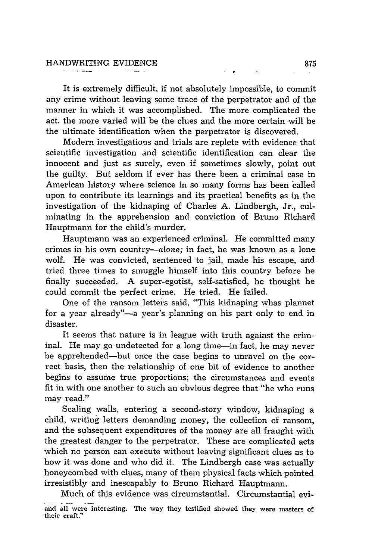It is extremely difficult, if not absolutely impossible, to commit any crime without leaving some trace of the perpetrator and of the manner in which it was accomplished. The more complicated the act, the more varied will be the clues and the more certain will be the ultimate identification when the perpetrator is discovered.

Modern investigations and trials are replete with evidence that scientific investigation and scientific identification can clear the innocent and just as surely, even if sometimes slowly, point out the guilty. But seldom if ever has there been a criminal case in American history where science in so many forms has been called upon to contribute its learnings and its practical benefits as in the investigation of the kidnaping of Charles A. Lindbergh, Jr., culminating in the apprehension and conviction of Bruno Richard Hauptmann for the child's murder.

Hauptmann was an experienced criminal. He committed many crimes in his own country-alone; in fact, he was known as a lone wolf. He was convicted, sentenced to jail, made his escape, and tried three times to smuggle himself into this country before he finally succeeded. A super-egotist, self-satisfied, he thought he could commit the perfect crime. He tried. He failed.

One of the ransom letters said, "This kidnaping whas plannet for a year already"—a year's planning on his part only to end in disaster.

It seems that nature is in league with truth against the criminal. He may go undetected for a long time-in fact, he may never be apprehended-but once the case begins to unravel on the correct basis, then the relationship of one bit of evidence to another begins to assume true proportions; the circumstances and events fit in with one another to such an obvious degree that "he who runs may read."

Scaling walls, entering a second-story window, kidnaping a child, writing letters demanding money, the collection of ransom, and the subsequent expenditures of the money are all fraught with the greatest danger to the perpetrator. These are complicated acts which no person can execute without leaving significant clues as to how it was done and who did it. The Lindbergh case was actually honeycombed with clues, many of them physical facts which pointed irresistibly and inescapably to Bruno Richard Hauptmann.

Much of this evidence was circumstantial. Circumstantial evi-

and all were **interesting. The** way they testified showed they were masters of their craft."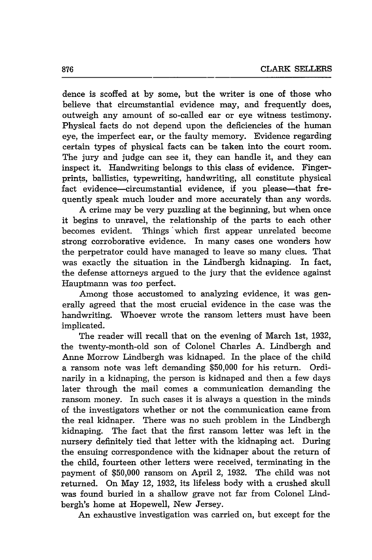dence is scoffed at by some, but the writer is one of those who believe that circumstantial evidence may, and frequently does, outweigh any amount of so-called ear or eye witness testimony. Physical facts do not depend upon the deficiencies of the human eye, the imperfect ear, or the faulty memory. Evidence regarding certain types of physical facts can be taken into the court room. The jury and judge can see it, they can handle it, and they can inspect it. Handwriting belongs to this class of evidence. Fingerprints, ballistics, typewriting, handwriting, all constitute physical fact evidence-circumstantial evidence, if you please-that frequently speak much louder and more accurately than any words.

A crime may be very puzzling at the beginning, but when once it begins to unravel, the relationship of the parts to each other becomes evident. Things which first appear unrelated become strong corroborative evidence. In many cases one wonders how the perpetrator could have managed to leave so many clues. That was exactly the situation in the Lindbergh kidnaping. In fact, the defense attorneys argued to the jury that the evidence against Hauptmann was too perfect.

Among those accustomed to analyzing evidence, it was generally agreed that the most crucial evidence in the case was the handwriting. Whoever wrote the ransom letters must have been implicated.

The reader will recall that on the evening of March 1st, 1932, the twenty-month-old son of Colonel Charles A. Lindbergh and Anne Morrow Lindbergh was kidnaped. In the place of the child a ransom note was left demanding \$50,000 for his return. Ordinarily in a kidnaping, the person is kidnaped and then a few days later through the mail comes a communication demanding the ransom money. In such cases it is always a question in the minds of the investigators whether or not the communication came from the real kidnaper. There was no such problem in the Lindbergh kidnaping. The fact that the first ransom letter was left in the nursery definitely tied that letter with the kidnaping act. During the ensuing correspondence with the kidnaper about the return of the child, fourteen other letters were received, terminating in the payment of \$50,000 ransom on April 2, 1932. The child was not returned. On May 12, 1932, its lifeless body with a crushed skull was found buried in a shallow grave not far from Colonel Lindbergh's home at Hopewell, New Jersey.

An exhaustive investigation was carried on, but except for the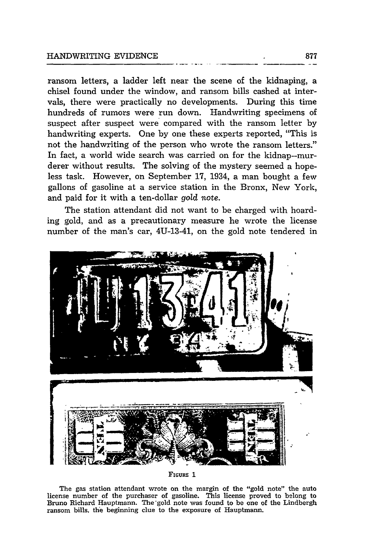ransom letters, a ladder left near the scene of the kidnaping, a chisel found under the window, and ransom bills cashed at intervals, there were practically no developments. During this time hundreds of rumors were run down. Handwriting specimens of suspect after suspect were compared with the ransom letter by handwriting experts. One by one these experts reported, "This is not the handwriting of the person who wrote the ransom letters." In fact, a world wide search was carried on for the kidnap--murderer without results. The solving of the mystery seemed a hopeless task. However, on September 17, 1934, a man bought a few gallons of gasoline at a service station in the Bronx, New York, and paid for it with a ten-dollar *gold* note.

The station attendant did not want to be charged with hoarding gold, and as a precautionary measure he wrote the license number of the man's car, 4U-13-41, on the gold note tendered in



**FIGURE 1**

The gas station attendant wrote on the margin of the "gold note" the auto license number of the purchaser of gasoline. This license proved to belong to Bruno Richard Hauptmann. The gold note was found to be one of the Lindbergh ransom bills. the beginning clue to the exposure of Hauptmann.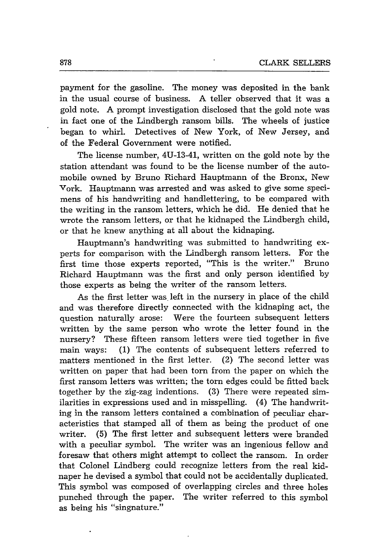payment for the gasoline. The money was deposited in the bank in the usual course of business. A teller observed that it was a gold note. A prompt investigation disclosed that the gold note was in fact one of the Lindbergh ransom bills. The wheels of justice began to whirl. Detectives of New York, of New Jersey, and of the Federal Government were notified.

The license number, 4U-13-41, written on the gold note by the station attendant was found to be the license number of the automobile owned by Bruno Richard Hauptmann of the Bronx, New York. Hauptmann was arrested and was asked to give some specimens of his handwriting and handlettering, to be compared with the writing in the ransom letters, which he did. He denied that he wrote the ransom letters, or that he kidnaped the Lindbergh child, or that he knew anything at all about the kidnaping.

Hauptmann's handwriting was submitted to handwriting experts for comparison with the Lindbergh ransom letters. For the first time those experts reported, "This is the writer." Bruno Richard Hauptmann was the first and only person identified by those experts as being the writer of the ransom letters.

As the first letter was left in the nursery in place of the child and was therefore directly connected with the kidnaping act, the question naturally arose: Were the fourteen subsequent letters written by the same person who wrote the letter found in the nursery? These fifteen ransom letters were tied together in five main ways: (1) The contents of subsequent letters referred to matters mentioned in the first letter. (2) The second letter was written on paper that had been torn from the paper on which the first ransom letters was written; the torn edges could be fitted back together by the zig-zag indentions. (3) There were repeated similarities in expressions used and in misspelling. (4) The handwriting in the ransom letters contained a combination of peculiar characteristics that stamped all of them as being the product of one writer. (5) The first letter and subsequent letters were branded with a peculiar symbol. The writer was an ingenious fellow and foresaw that others might attempt to collect the ransom. In order that Colonel Lindberg could recognize letters from the real kidnaper he devised a symbol that could not be accidentally duplicated. This symbol was composed of overlapping circles and three holes punched through the paper. The writer referred to this symbol as being his "singnature."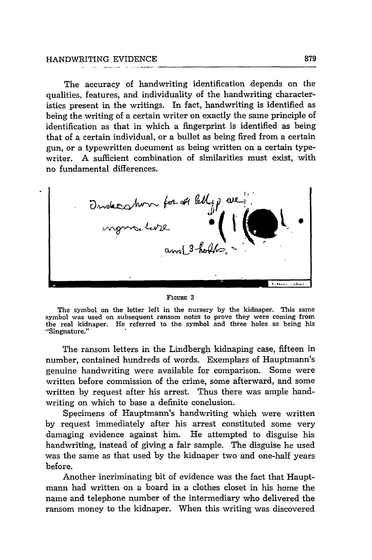The accuracy of handwriting identification depends on the qualities, features, and individuality of the handwriting characteristics present in the writings. In fact, handwriting is identified as being the writing of a certain writer on exactly the same principle of identification as that in which a fingerprint is identified as being that of a certain individual, or a bullet as being fired from a certain gun, or a typewritten ducument as being written on a certain typewriter. A sufficient combination of similarities must exist, with no fundamental differences.



FIGURE 2

The symbol on the letter left in the nursery **by** the kidnaper. 'Ibis same symbol was used on subsequent ransom notes to prove they were coming from the real kidnaper. He referred to the symbol and three holes as being his "Singnature."

The ransom letters in the Lindbergh kidnaping case, fifteen in number, contained hundreds of words. Exemplars of Hauptmann's genuine handwriting were available for comparison. Some were written before commission of the crime, some afterward, and some written by request after his arrest. Thus there was ample handwriting on which to base a definite conclusion.

Specimens of Hauptmann's handwriting which were written by request immediately after his arrest constituted some very damaging evidence against him. He attempted to disguise his handwriting, instead of giving a fair sample. The disguise he used was the same as that used by the kidnaper two and one-half years before.

Another incriminating bit of evidence was the fact that Hauptmann had written on a board in a clothes closet in his home the name and telephone number of the intermediary who delivered the ransom money to the kidnaper. When this writing was discovered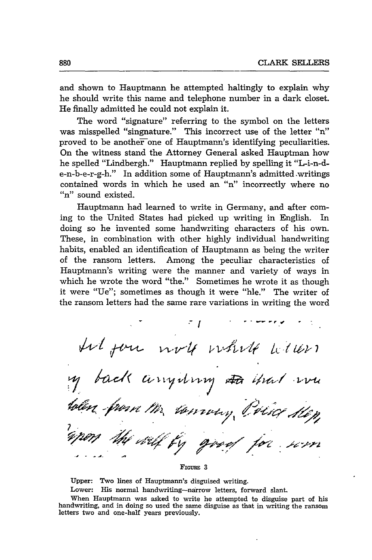and shown to Hauptmann he attempted haltingly to explain why he should write this name and telephone number in a dark closet. He finally admitted he could not explain it.

The word "signature" referring to the symbol on the letters was misspelled "singnature." This incorrect use of the letter "n" proved to be another one of Hauptmann's identifying peculiarities. On the witness stand the Attorney General asked Hauptman how he spelled "Lindbergh." Hauptmann replied by spelling it "L-i-n-de-n-b-e-r-g-h." In addition some of Hauptmann's admitted writings contained words in which he used an "n" incorrectly where no "n" sound existed.

Hauptmann had learned to write in Germany, and after coming to the United States had picked up writing in English. In doing so he invented some handwriting characters of his own. These, in combination with other highly individual handwriting habits, enabled an identification of Hauptmann as being the writer of the ransom letters. Among the peculiar characteristics of Hauptmann's writing were the manner and variety of ways in which he wrote the word "the." Sometimes he wrote it as though it were "Ue"; sometimes as though it were "hle." The writer of the ransom letters had the same rare variations in writing the word

ா ∤ til fon with white letters y back anywhy the that we towny, The Kep **/.f" " ",A/**

*FIGURE* **3**

Upper: Two lines of Hauptmann's disguised writing.

Lower: His normal handwriting-narrow letters, forward slant.

When Hauptmann was asked to write he attempted to disguise part of his handwriting, and in doing so used the same disguise as that in writing the ransom letters two and one-half years previously.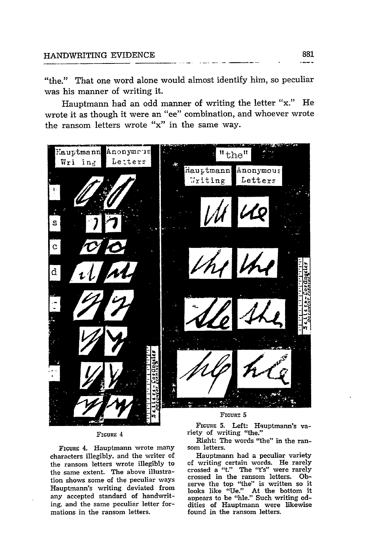"the." That one word alone would almost identify him, so peculiar was his manner of writing it.

Hauptmann had an odd manner of writing the letter "x." He wrote it as though it were an "ee" combination, and whoever wrote the ransom letters wrote "x" in the same way.



#### **FIGURE** 4

**FIGURE** 4. Hauptmann wrote many characters illegibly, and the writer of the ransom letters wrote illegibly to the same extent. The above illustration shows some of the peculiar ways Hauptmann's writing deviated from any accepted standard of handwriting. and the same peculiar letter formations in the ransom letters.

FIGURE 5. Left: Hauptmann's variety of writing "the."

Right: The words "the" in the ransom letters.

Hauptmann had a peculiar variety **of** writing certain words. He rarely crossed a "t." The "t's" were rarely crossed in the ransom letters. **Ob**serve the top "the" is written so it looks like "Ue." At the bottom it appears to be "hle." Such writing oddities of Hauptmann were likewise found in the ransom letters.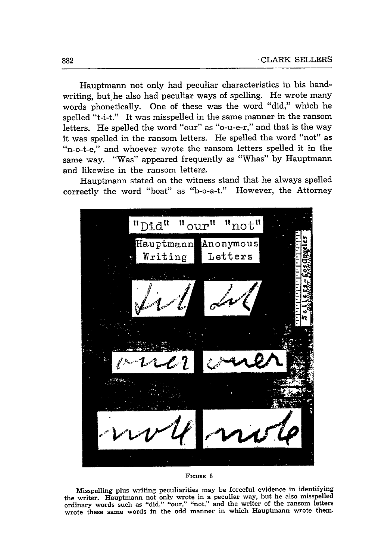Hauptmann not only had peculiar characteristics in his handwriting, but he also had peculiar ways of spelling. He wrote many words phonetically. One of these was the word "did," which he spelled "t-i-t." It was misspelled in the same manner in the ransom letters. He spelled the word "our" as "o-u-e-r," and that is the way it was spelled in the ransom letters. He spelled the word "not" as "n-o-t-e," and whoever wrote the ransom letters spelled it in the same way. "Was" appeared frequently as "Whas" by Hauptmann and likewise in the ransom lettera.

Hauptmann stated on the witness stand that he always spelled correctly the word "boat" as "b-o-a-t." However, the Attorney



#### **FIGuRE 6**

Misspelling plus writing peculiarities may be forceful evidence in identifying the writer. Hauptmann not only wrote in a peculiar way, but he also misspelled ordinary words such as "did," "our," "not." and the writer of the ransom letters wrote these same words in the odd manner in which Hauptmann wrote them.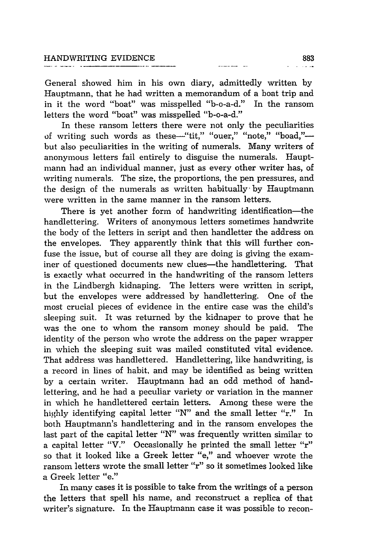General showed him in his own diary, admittedly written by Hauptmann, that he had written a memorandum of a boat trip and in it the word "boat" was misspelled "b-o-a-d." In the ransom letters the word "boat" was misspelled "b-o-a-d."

In these ransom letters there were not only the peculiarities of writing such words as these-"tit," "ouer," "note," "boad,"but also peculiarities in the writing of numerals. Many writers of anonymous letters fail entirely to disguise the numerals. Hauptmann had an individual manner, just as every other writer has, of writing numerals. The size, the proportions, the pen pressures, and the design of the numerals as written habitually by Hauptmann were written in the same manner in the ransom letters.

There is yet another form of handwriting identification—the handlettering. Writers of anonymous letters sometimes handwrite the body of the letters in script and then handletter the address on the envelopes. They apparently think that this will further confuse the issue, but of course all they are doing is giving the examiner of questioned documents new clues—the handlettering. That is exactly what occurred in the handwriting of the ransom letters in the Lindbergh kidnaping. The letters were written in script, but the envelopes were addressed by handlettering. One of the most crucial pieces of evidence in the entire case was the child's sleeping suit. It was returned by the kidnaper to prove that he was the one to whom the ransom money should be paid. The identity of the person who wrote the address on the paper wrapper in which the sleeping suit was mailed constituted vital evidence. That address was handlettered. Handlettering, like handwriting, is a record in lines of habit, and may be identified as being written by a certain writer. Hauptmann had an odd method of handlettering, and he had a peculiar variety or variation in the manner in which he handlettered certain letters. Among these were the highly identifying capital letter "N" and the small letter "r." In both Hauptmann's handlettering and in the ransom envelopes the last part of the capital letter "N" was frequently written similar to a capital letter "V." Occasionally he printed the small letter "r" so that it looked like a Greek letter "e," and whoever wrote the ransom letters wrote the small letter *"r"* so it sometimes looked like a Greek letter "e."

In many cases it is possible to take from the writings of a person the letters that spell his name, and reconstruct a replica of that writer's signature. In the Hauptmann case it was possible to recon-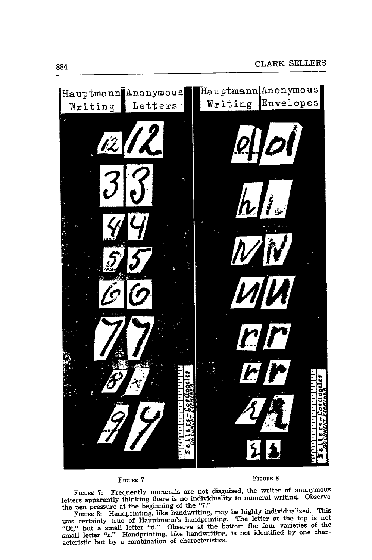

**FIGURE 7:** Frequently numerals are not disguised, the writer of anonymous letters apparently thinking there is no individuality to numeral writing. Observe the pen pressure at the beginning of the **"7."**

FIGURE **8:** Handprinting. like handwriting, may be **highly** individualized. This was certainly true of Hauptmann's handprinting. The letter at the top is not **"O1,"** but a small letter **"d."** Observe at the bottom the four varieties of the small letter "r." Handprinting, like handwriting, is not identified by one characteristic but **by** a combination of characteristics.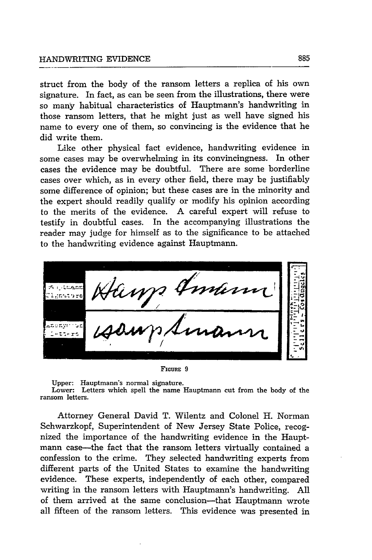struct from the body of the ransom letters a replica of his own signature. In fact, as can be seen from the illustrations, there were so many habitual characteristics of Hauptmann's handwriting in those ransom letters, that he might just as well have signed his name to every one of them, so convincing is the evidence that he did write them.

Like other physical fact evidence, handwriting evidence in some cases may be overwhelming in its convincingness. In other cases the evidence may be doubtful. There are some borderline cases over which, as in every other field, there may be justifiably some difference of opinion; but these cases are in the minority and the expert should readily qualify or modify his opinion according to the merits of the evidence. A careful expert will refuse to testify in doubtful cases. In the accompanying illustrations the reader may judge for himself as to the significance to be attached to the handwriting evidence against Hauptmann.



**FIGURE 9**

Upper: Hauptmann's normal signature.

Lower: Letters which spell the name Hauptmann cut from the body of the ransom letters.

Attorney General David T. Wilentz and Colonel H. Norman Schwarzkopf, Superintendent of New Jersey State Police, recognized the importance of the handwriting evidence in the Hauptmann case-the fact that the ransom letters virtually contained a confession to the crime. They selected handwriting experts from different parts of the United States to examine the handwriting evidence. These experts, independently of each other, compared writing in the ransom letters with Hauptmann's handwriting. All of them arrived at the same conclusion-that Hauptmann wrote all fifteen of the ransom letters. This evidence was presented in